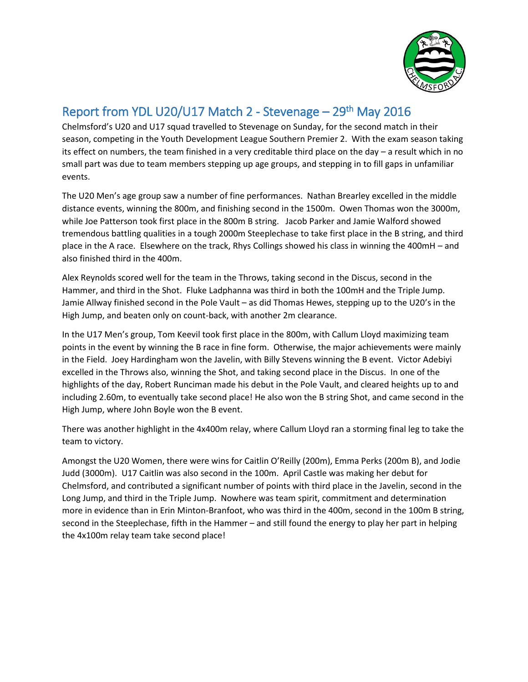

## Report from YDL U20/U17 Match 2 - Stevenage – 29<sup>th</sup> May 2016

Chelmsford's U20 and U17 squad travelled to Stevenage on Sunday, for the second match in their season, competing in the Youth Development League Southern Premier 2. With the exam season taking its effect on numbers, the team finished in a very creditable third place on the day – a result which in no small part was due to team members stepping up age groups, and stepping in to fill gaps in unfamiliar events.

The U20 Men's age group saw a number of fine performances. Nathan Brearley excelled in the middle distance events, winning the 800m, and finishing second in the 1500m. Owen Thomas won the 3000m, while Joe Patterson took first place in the 800m B string. Jacob Parker and Jamie Walford showed tremendous battling qualities in a tough 2000m Steeplechase to take first place in the B string, and third place in the A race. Elsewhere on the track, Rhys Collings showed his class in winning the 400mH – and also finished third in the 400m.

Alex Reynolds scored well for the team in the Throws, taking second in the Discus, second in the Hammer, and third in the Shot. Fluke Ladphanna was third in both the 100mH and the Triple Jump. Jamie Allway finished second in the Pole Vault – as did Thomas Hewes, stepping up to the U20's in the High Jump, and beaten only on count-back, with another 2m clearance.

In the U17 Men's group, Tom Keevil took first place in the 800m, with Callum Lloyd maximizing team points in the event by winning the B race in fine form. Otherwise, the major achievements were mainly in the Field. Joey Hardingham won the Javelin, with Billy Stevens winning the B event. Victor Adebiyi excelled in the Throws also, winning the Shot, and taking second place in the Discus. In one of the highlights of the day, Robert Runciman made his debut in the Pole Vault, and cleared heights up to and including 2.60m, to eventually take second place! He also won the B string Shot, and came second in the High Jump, where John Boyle won the B event.

There was another highlight in the 4x400m relay, where Callum Lloyd ran a storming final leg to take the team to victory.

Amongst the U20 Women, there were wins for Caitlin O'Reilly (200m), Emma Perks (200m B), and Jodie Judd (3000m). U17 Caitlin was also second in the 100m. April Castle was making her debut for Chelmsford, and contributed a significant number of points with third place in the Javelin, second in the Long Jump, and third in the Triple Jump. Nowhere was team spirit, commitment and determination more in evidence than in Erin Minton-Branfoot, who was third in the 400m, second in the 100m B string, second in the Steeplechase, fifth in the Hammer – and still found the energy to play her part in helping the 4x100m relay team take second place!